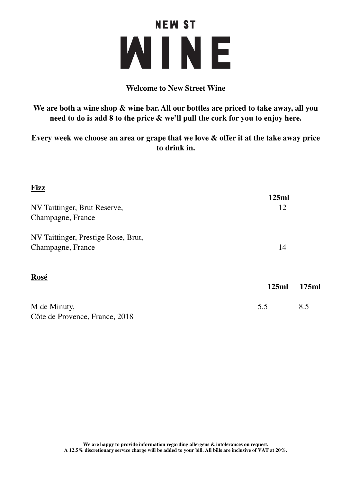### **NEWST** MINE

#### **Welcome to New Street Wine**

**We are both a wine shop & wine bar. All our bottles are priced to take away, all you need to do is add 8 to the price & we'll pull the cork for you to enjoy here.**

**Every week we choose an area or grape that we love & offer it at the take away price to drink in.** 

**Fizz** 

| <u> 1177 </u>                       | 125ml |       |
|-------------------------------------|-------|-------|
| NV Taittinger, Brut Reserve,        | 12    |       |
| Champagne, France                   |       |       |
| NV Taittinger, Prestige Rose, Brut, |       |       |
| Champagne, France                   | 14    |       |
| Rosé                                |       |       |
|                                     | 125ml | 175ml |
| M de Minuty,                        | 5.5   | 8.5   |
| Côte de Provence, France, 2018      |       |       |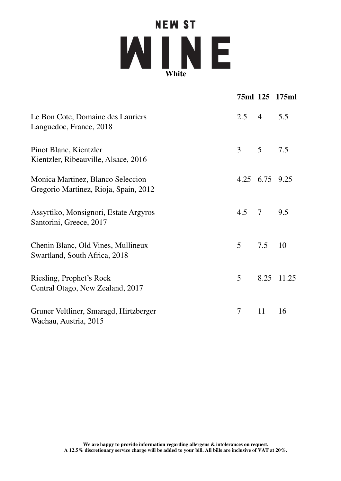# **NEWST WHALE**

|                                                                            |     |                | 75ml 125 175ml |
|----------------------------------------------------------------------------|-----|----------------|----------------|
| Le Bon Cote, Domaine des Lauriers<br>Languedoc, France, 2018               | 2.5 | $\overline{4}$ | 5.5            |
| Pinot Blanc, Kientzler<br>Kientzler, Ribeauville, Alsace, 2016             | 3   | $\mathfrak{S}$ | 7.5            |
| Monica Martinez, Blanco Seleccion<br>Gregorio Martinez, Rioja, Spain, 2012 |     | 4.25 6.75 9.25 |                |
| Assyrtiko, Monsignori, Estate Argyros<br>Santorini, Greece, 2017           | 4.5 | $\overline{7}$ | 9.5            |
| Chenin Blanc, Old Vines, Mullineux<br>Swartland, South Africa, 2018        | 5   | 7.5            | 10             |
| Riesling, Prophet's Rock<br>Central Otago, New Zealand, 2017               | 5   | 8.25           | 11.25          |
| Gruner Veltliner, Smaragd, Hirtzberger<br>Wachau, Austria, 2015            | 7   | 11             | 16             |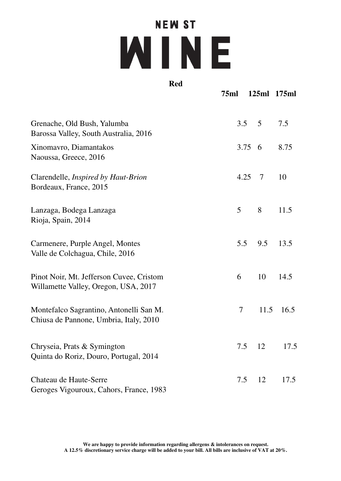## **NEWST WINE**

**Red** 

|                                                                                   | 75ml |                |      | 125ml 175ml |
|-----------------------------------------------------------------------------------|------|----------------|------|-------------|
| Grenache, Old Bush, Yalumba<br>Barossa Valley, South Australia, 2016              | 3.5  | 5              |      | 7.5         |
| Xinomavro, Diamantakos<br>Naoussa, Greece, 2016                                   |      | $3.75 \quad 6$ |      | 8.75        |
| Clarendelle, <i>Inspired by Haut-Brion</i><br>Bordeaux, France, 2015              |      | 4.25<br>7      |      | 10          |
| Lanzaga, Bodega Lanzaga<br>Rioja, Spain, 2014                                     | 5    | 8              |      | 11.5        |
| Carmenere, Purple Angel, Montes<br>Valle de Colchagua, Chile, 2016                | 5.5  |                | 9.5  | 13.5        |
| Pinot Noir, Mt. Jefferson Cuvee, Cristom<br>Willamette Valley, Oregon, USA, 2017  | 6    |                | 10   | 14.5        |
| Montefalco Sagrantino, Antonelli San M.<br>Chiusa de Pannone, Umbria, Italy, 2010 | 7    |                | 11.5 | 16.5        |
| Chryseia, Prats & Symington<br>Quinta do Roriz, Douro, Portugal, 2014             |      | $7.5$ 12       |      | 17.5        |
| Chateau de Haute-Serre<br>Geroges Vigouroux, Cahors, France, 1983                 |      | 12<br>7.5      |      | 17.5        |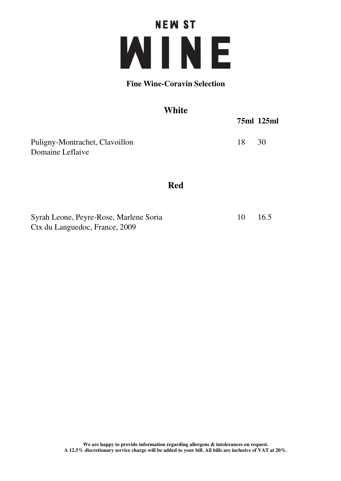## **NEW ST WINE**

#### **Fine Wine-Coravin Selection**

| <b>White</b>                                       |            |    |            |  |
|----------------------------------------------------|------------|----|------------|--|
|                                                    |            |    | 75ml 125ml |  |
| Puligny-Montrachet, Clavoillon<br>Domaine Leflaive |            | 18 | 30         |  |
|                                                    | <b>Red</b> |    |            |  |

Syrah Leone, Peyre-Rose, Marlene Soria 10 16.5 Ctx du Languedoc, France, 2009